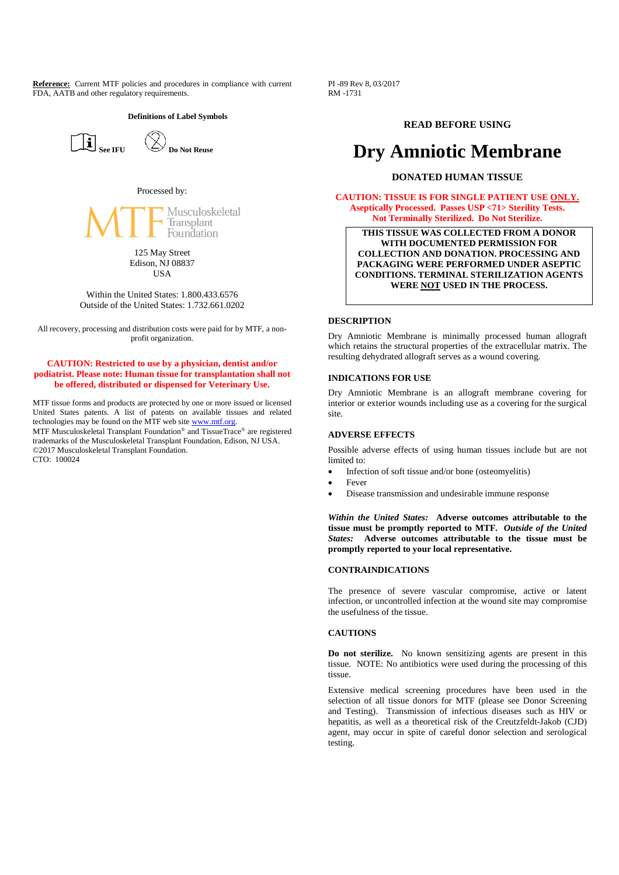**Reference:** Current MTF policies and procedures in compliance with current FDA, AATB and other regulatory requirements.

#### **Definitions of Label Symbols**





Processed by:

Musculoskeletal Transplant Foundation

> 125 May Street Edison, NJ 08837 **IISA**

Within the United States: 1.800.433.6576 Outside of the United States: 1.732.661.0202

All recovery, processing and distribution costs were paid for by MTF, a nonprofit organization.

## **CAUTION: Restricted to use by a physician, dentist and/or podiatrist. Please note: Human tissue for transplantation shall not be offered, distributed or dispensed for Veterinary Use.**

MTF tissue forms and products are protected by one or more issued or licensed United States patents. A list of patents on available tissues and related technologies may be found on the MTF web site www.mtf.org.

MTF Musculoskeletal Transplant Foundation® and TissueTrace® are registered trademarks of the Musculoskeletal Transplant Foundation, Edison, NJ USA. ©2017 Musculoskeletal Transplant Foundation. CTO: 100024

PI -89 Rev 8, 03/2017 RM -1731

# **READ BEFORE USING**

# **Dry Amniotic Membrane**

# **DONATED HUMAN TISSUE**

**CAUTION: TISSUE IS FOR SINGLE PATIENT USE ONLY. Aseptically Processed. Passes USP <71> Sterility Tests. Not Terminally Sterilized. Do Not Sterilize.**

**THIS TISSUE WAS COLLECTED FROM A DONOR WITH DOCUMENTED PERMISSION FOR COLLECTION AND DONATION. PROCESSING AND PACKAGING WERE PERFORMED UNDER ASEPTIC CONDITIONS. TERMINAL STERILIZATION AGENTS WERE NOT USED IN THE PROCESS.**

#### **DESCRIPTION**

Dry Amniotic Membrane is minimally processed human allograft which retains the structural properties of the extracellular matrix. The resulting dehydrated allograft serves as a wound covering.

#### **INDICATIONS FOR USE**

Dry Amniotic Membrane is an allograft membrane covering for interior or exterior wounds including use as a covering for the surgical site.

### **ADVERSE EFFECTS**

Possible adverse effects of using human tissues include but are not limited to:

- Infection of soft tissue and/or bone (osteomyelitis)
- Fever
- Disease transmission and undesirable immune response

*Within the United States:* **Adverse outcomes attributable to the tissue must be promptly reported to MTF.** *Outside of the United States:* **Adverse outcomes attributable to the tissue must be promptly reported to your local representative.**

#### **CONTRAINDICATIONS**

The presence of severe vascular compromise, active or latent infection, or uncontrolled infection at the wound site may compromise the usefulness of the tissue.

#### **CAUTIONS**

**Do not sterilize.** No known sensitizing agents are present in this tissue. NOTE: No antibiotics were used during the processing of this tissue.

Extensive medical screening procedures have been used in the selection of all tissue donors for MTF (please see Donor Screening and Testing). Transmission of infectious diseases such as HIV or hepatitis, as well as a theoretical risk of the Creutzfeldt-Jakob (CJD) agent, may occur in spite of careful donor selection and serological testing.